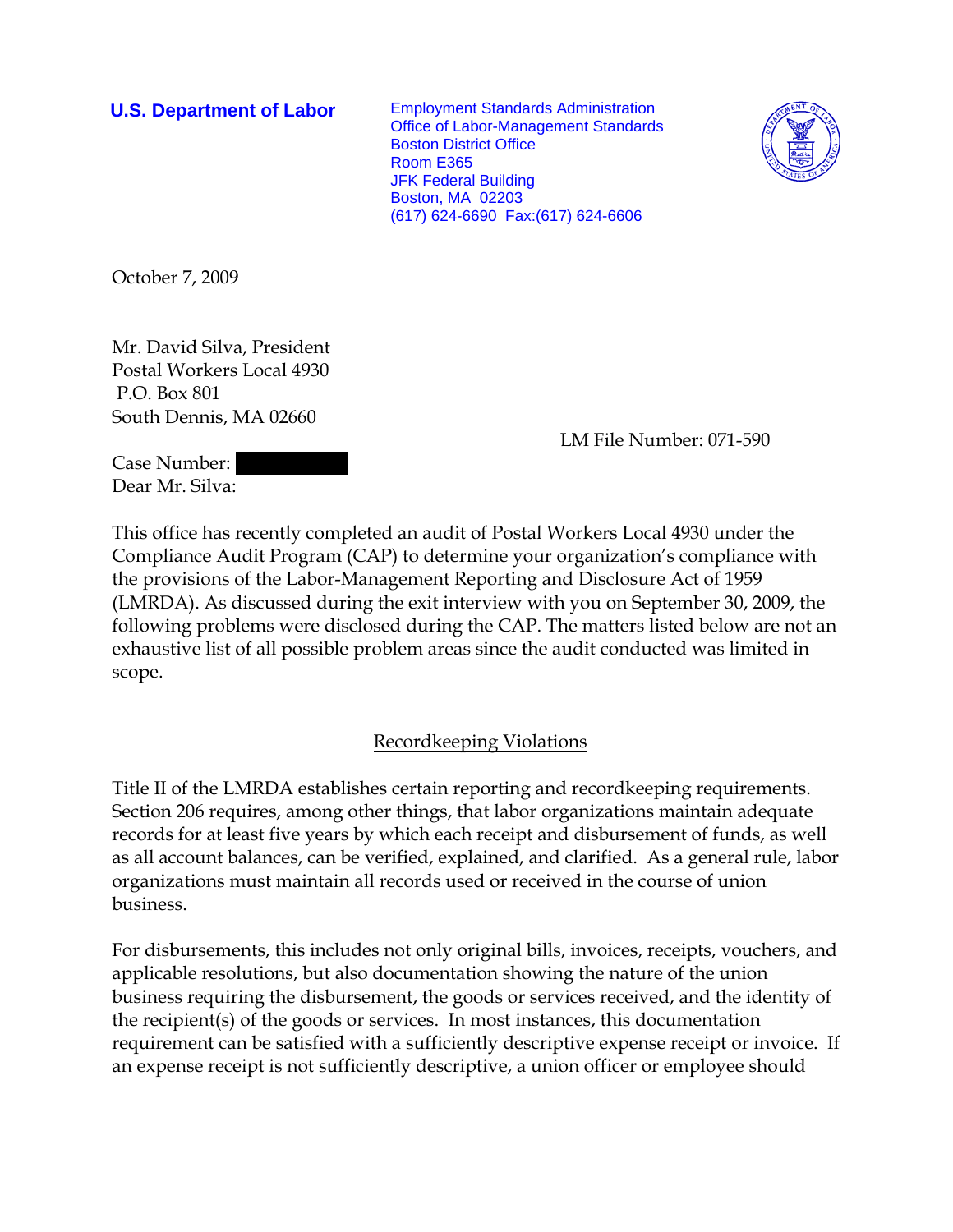**U.S. Department of Labor** Employment Standards Administration Office of Labor-Management Standards Boston District Office Room E365 JFK Federal Building Boston, MA 02203 (617) 624-6690 Fax:(617) 624-6606



October 7, 2009

Mr. David Silva, President Postal Workers Local 4930 P.O. Box 801 South Dennis, MA 02660

LM File Number: 071-590

Case Number: Dear Mr. Silva:

This office has recently completed an audit of Postal Workers Local 4930 under the Compliance Audit Program (CAP) to determine your organization's compliance with the provisions of the Labor-Management Reporting and Disclosure Act of 1959 (LMRDA). As discussed during the exit interview with you on September 30, 2009, the following problems were disclosed during the CAP. The matters listed below are not an exhaustive list of all possible problem areas since the audit conducted was limited in scope.

# Recordkeeping Violations

Title II of the LMRDA establishes certain reporting and recordkeeping requirements. Section 206 requires, among other things, that labor organizations maintain adequate records for at least five years by which each receipt and disbursement of funds, as well as all account balances, can be verified, explained, and clarified. As a general rule, labor organizations must maintain all records used or received in the course of union business.

For disbursements, this includes not only original bills, invoices, receipts, vouchers, and applicable resolutions, but also documentation showing the nature of the union business requiring the disbursement, the goods or services received, and the identity of the recipient(s) of the goods or services. In most instances, this documentation requirement can be satisfied with a sufficiently descriptive expense receipt or invoice. If an expense receipt is not sufficiently descriptive, a union officer or employee should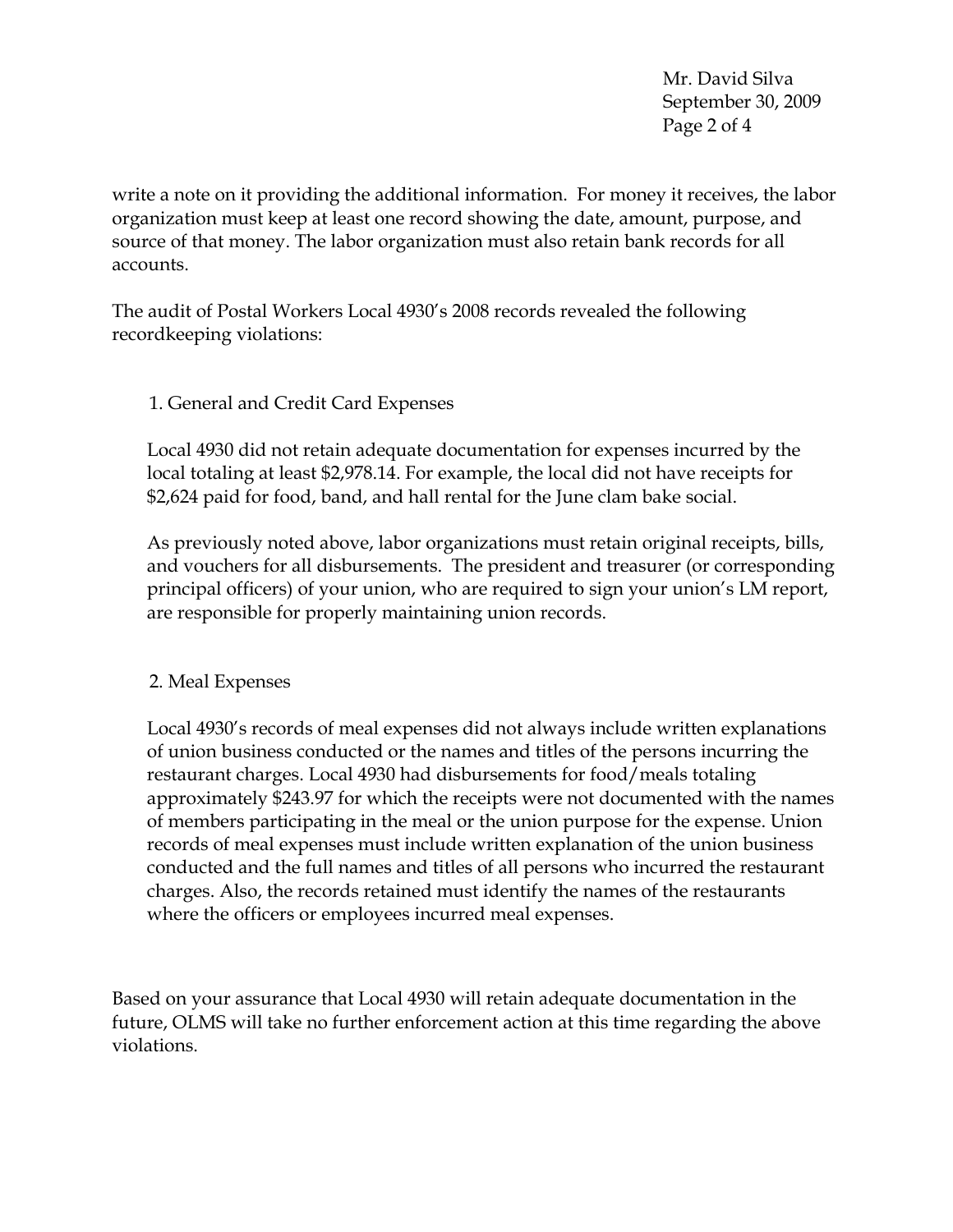Mr. David Silva September 30, 2009 Page 2 of 4

write a note on it providing the additional information. For money it receives, the labor organization must keep at least one record showing the date, amount, purpose, and source of that money. The labor organization must also retain bank records for all accounts.

The audit of Postal Workers Local 4930's 2008 records revealed the following recordkeeping violations:

# 1. General and Credit Card Expenses

Local 4930 did not retain adequate documentation for expenses incurred by the local totaling at least \$2,978.14. For example, the local did not have receipts for \$2,624 paid for food, band, and hall rental for the June clam bake social.

As previously noted above, labor organizations must retain original receipts, bills, and vouchers for all disbursements. The president and treasurer (or corresponding principal officers) of your union, who are required to sign your union's LM report, are responsible for properly maintaining union records.

# 2. Meal Expenses

Local 4930's records of meal expenses did not always include written explanations of union business conducted or the names and titles of the persons incurring the restaurant charges. Local 4930 had disbursements for food/meals totaling approximately \$243.97 for which the receipts were not documented with the names of members participating in the meal or the union purpose for the expense. Union records of meal expenses must include written explanation of the union business conducted and the full names and titles of all persons who incurred the restaurant charges. Also, the records retained must identify the names of the restaurants where the officers or employees incurred meal expenses.

Based on your assurance that Local 4930 will retain adequate documentation in the future, OLMS will take no further enforcement action at this time regarding the above violations.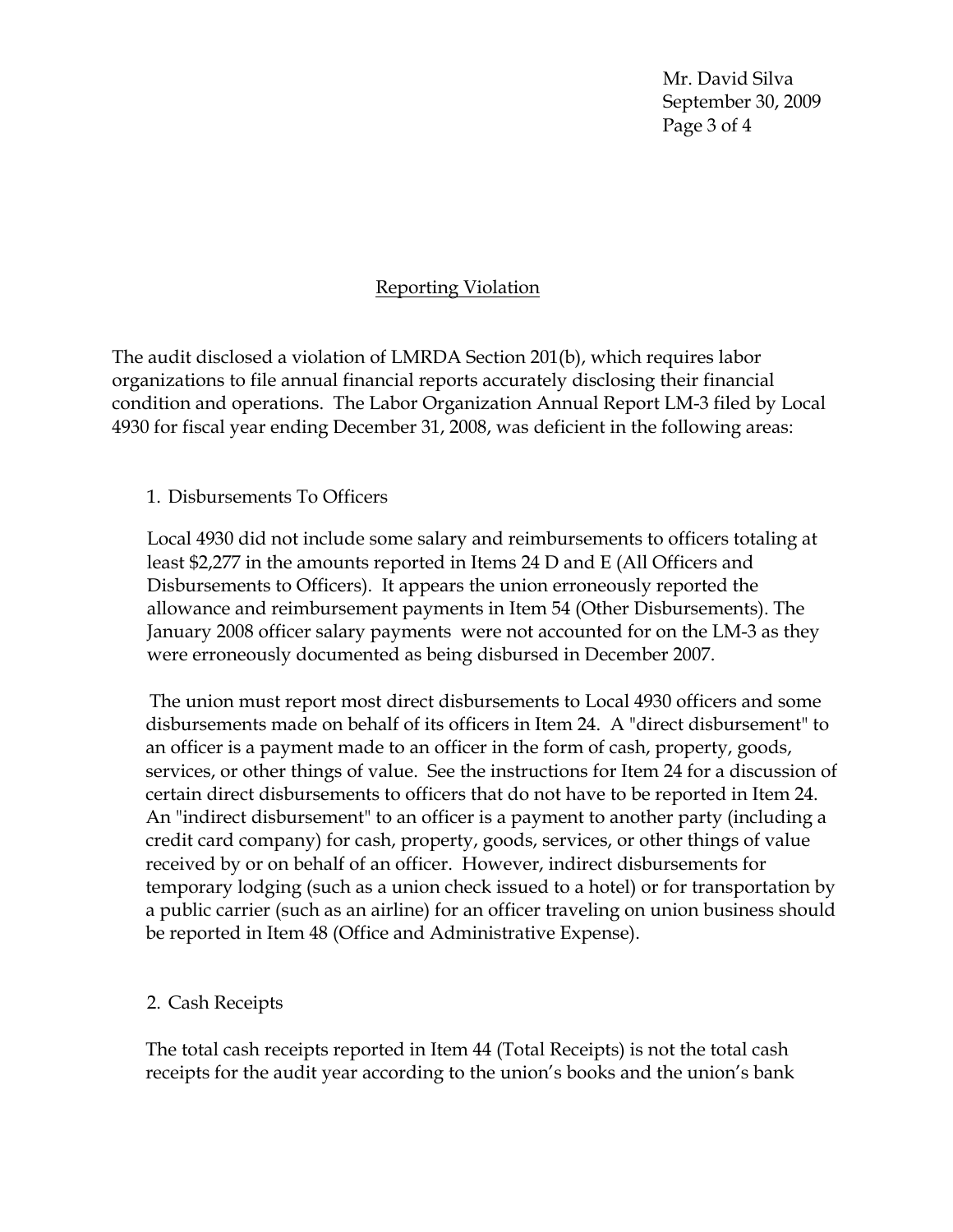Mr. David Silva September 30, 2009 Page 3 of 4

### Reporting Violation

The audit disclosed a violation of LMRDA Section 201(b), which requires labor organizations to file annual financial reports accurately disclosing their financial condition and operations. The Labor Organization Annual Report LM-3 filed by Local 4930 for fiscal year ending December 31, 2008, was deficient in the following areas:

#### 1. Disbursements To Officers

Local 4930 did not include some salary and reimbursements to officers totaling at least \$2,277 in the amounts reported in Items 24 D and E (All Officers and Disbursements to Officers). It appears the union erroneously reported the allowance and reimbursement payments in Item 54 (Other Disbursements). The January 2008 officer salary payments were not accounted for on the LM-3 as they were erroneously documented as being disbursed in December 2007.

The union must report most direct disbursements to Local 4930 officers and some disbursements made on behalf of its officers in Item 24. A "direct disbursement" to an officer is a payment made to an officer in the form of cash, property, goods, services, or other things of value. See the instructions for Item 24 for a discussion of certain direct disbursements to officers that do not have to be reported in Item 24. An "indirect disbursement" to an officer is a payment to another party (including a credit card company) for cash, property, goods, services, or other things of value received by or on behalf of an officer. However, indirect disbursements for temporary lodging (such as a union check issued to a hotel) or for transportation by a public carrier (such as an airline) for an officer traveling on union business should be reported in Item 48 (Office and Administrative Expense).

#### 2. Cash Receipts

The total cash receipts reported in Item 44 (Total Receipts) is not the total cash receipts for the audit year according to the union's books and the union's bank